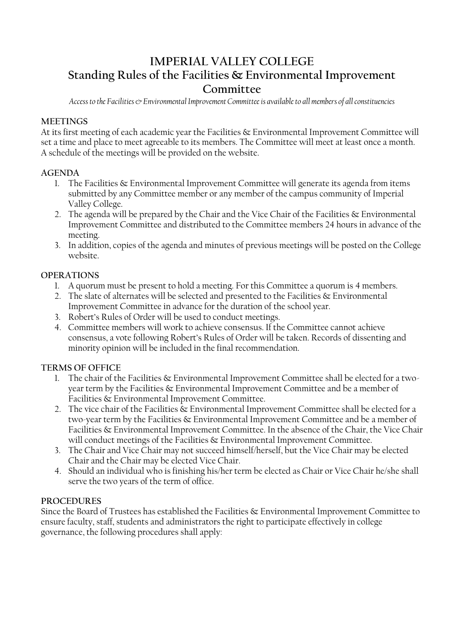# **IMPERIAL VALLEY COLLEGE Standing Rules of the Facilities & Environmental Improvement Committee**

*Access to the Facilities & Environmental Improvement Committee is available to all members of all constituencies*

#### **MEETINGS**

At its first meeting of each academic year the Facilities & Environmental Improvement Committee will set a time and place to meet agreeable to its members. The Committee will meet at least once a month. A schedule of the meetings will be provided on the website.

#### **AGENDA**

- 1. The Facilities & Environmental Improvement Committee will generate its agenda from items submitted by any Committee member or any member of the campus community of Imperial Valley College.
- 2. The agenda will be prepared by the Chair and the Vice Chair of the Facilities & Environmental Improvement Committee and distributed to the Committee members 24 hours in advance of the meeting.
- 3. In addition, copies of the agenda and minutes of previous meetings will be posted on the College website.

### **OPERATIONS**

- 1. A quorum must be present to hold a meeting. For this Committee a quorum is 4 members.
- 2. The slate of alternates will be selected and presented to the Facilities & Environmental Improvement Committee in advance for the duration of the school year.
- 3. Robert's Rules of Order will be used to conduct meetings.
- 4. Committee members will work to achieve consensus. If the Committee cannot achieve consensus, a vote following Robert's Rules of Order will be taken. Records of dissenting and minority opinion will be included in the final recommendation.

## **TERMS OF OFFICE**

- 1. The chair of the Facilities & Environmental Improvement Committee shall be elected for a twoyear term by the Facilities & Environmental Improvement Committee and be a member of Facilities & Environmental Improvement Committee.
- 2. The vice chair of the Facilities & Environmental Improvement Committee shall be elected for a two-year term by the Facilities & Environmental Improvement Committee and be a member of Facilities & Environmental Improvement Committee. In the absence of the Chair, the Vice Chair will conduct meetings of the Facilities & Environmental Improvement Committee.
- 3. The Chair and Vice Chair may not succeed himself/herself, but the Vice Chair may be elected Chair and the Chair may be elected Vice Chair.
- 4. Should an individual who is finishing his/her term be elected as Chair or Vice Chair he/she shall serve the two years of the term of office.

#### **PROCEDURES**

Since the Board of Trustees has established the Facilities & Environmental Improvement Committee to ensure faculty, staff, students and administrators the right to participate effectively in college governance, the following procedures shall apply: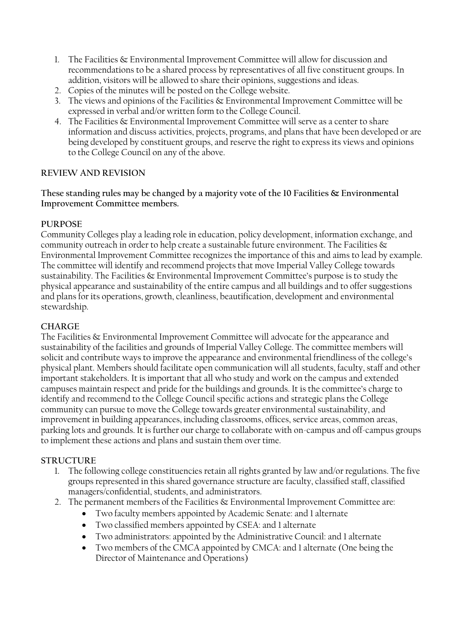- 1. The Facilities & Environmental Improvement Committee will allow for discussion and recommendations to be a shared process by representatives of all five constituent groups. In addition, visitors will be allowed to share their opinions, suggestions and ideas.
- 2. Copies of the minutes will be posted on the College website.
- 3. The views and opinions of the Facilities & Environmental Improvement Committee will be expressed in verbal and/or written form to the College Council.
- 4. The Facilities & Environmental Improvement Committee will serve as a center to share information and discuss activities, projects, programs, and plans that have been developed or are being developed by constituent groups, and reserve the right to express its views and opinions to the College Council on any of the above.

## **REVIEW AND REVISION**

**These standing rules may be changed by a majority vote of the 10 Facilities & Environmental Improvement Committee members.**

## **PURPOSE**

Community Colleges play a leading role in education, policy development, information exchange, and community outreach in order to help create a sustainable future environment. The Facilities  $\&$ Environmental Improvement Committee recognizes the importance of this and aims to lead by example. The committee will identify and recommend projects that move Imperial Valley College towards sustainability. The Facilities & Environmental Improvement Committee's purpose is to study the physical appearance and sustainability of the entire campus and all buildings and to offer suggestions and plans for its operations, growth, cleanliness, beautification, development and environmental stewardship.

## **CHARGE**

The Facilities & Environmental Improvement Committee will advocate for the appearance and sustainability of the facilities and grounds of Imperial Valley College. The committee members will solicit and contribute ways to improve the appearance and environmental friendliness of the college's physical plant. Members should facilitate open communication will all students, faculty, staff and other important stakeholders. It is important that all who study and work on the campus and extended campuses maintain respect and pride for the buildings and grounds. It is the committee's charge to identify and recommend to the College Council specific actions and strategic plans the College community can pursue to move the College towards greater environmental sustainability, and improvement in building appearances, including classrooms, offices, service areas, common areas, parking lots and grounds. It is further our charge to collaborate with on-campus and off-campus groups to implement these actions and plans and sustain them over time.

## **STRUCTURE**

- 1. The following college constituencies retain all rights granted by law and/or regulations. The five groups represented in this shared governance structure are faculty, classified staff, classified managers/confidential, students, and administrators.
- 2. The permanent members of the Facilities  $\&$  Environmental Improvement Committee are:
	- Two faculty members appointed by Academic Senate: and 1 alternate
	- Two classified members appointed by CSEA: and 1 alternate
	- Two administrators: appointed by the Administrative Council: and 1 alternate
	- Two members of the CMCA appointed by CMCA: and 1 alternate (One being the Director of Maintenance and Operations)